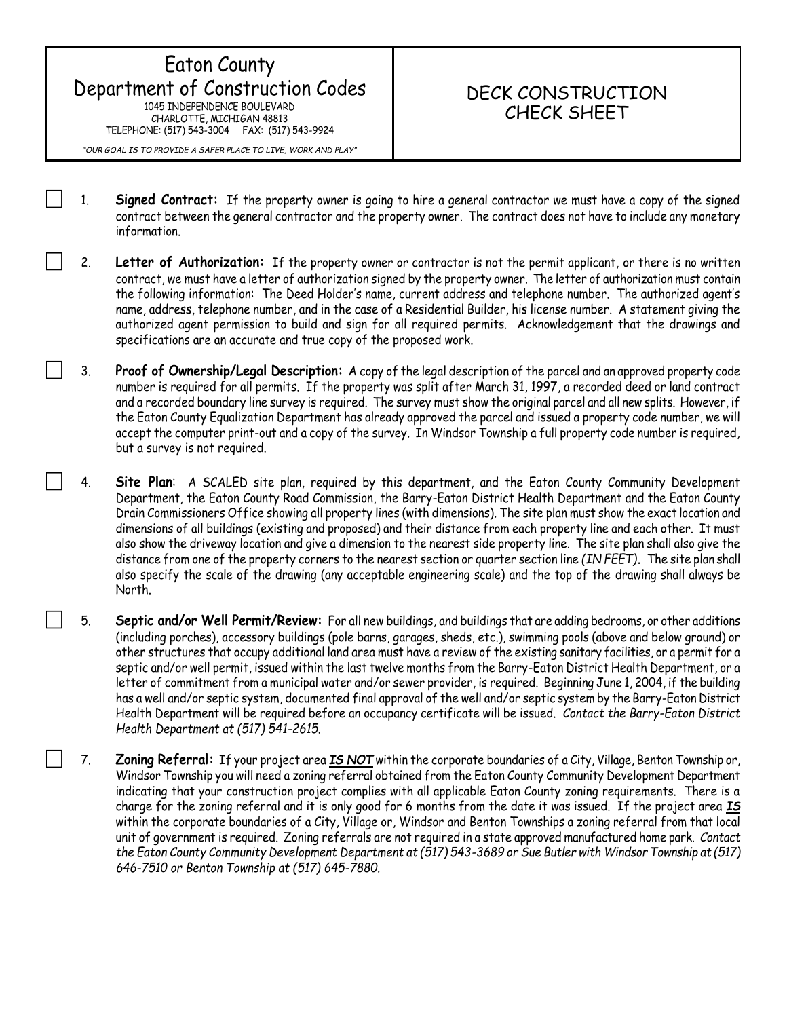## Eaton County Department of Construction Codes 1045 INDEPENDENCE BOULEVARD CHARLOTTE, MICHIGAN 48813 TELEPHONE: (517) 543-3004 FAX: (517) 543-9924

*"OUR GOAL IS TO PROVIDE A SAFER PLACE TO LIVE, WORK AND PLAY"*

information.

## DECK CONSTRUCTION CHECK SHEET

- 1. **Signed Contract:** If the property owner is going to hire a general contractor we must have a copy of the signed contract between the general contractor and the property owner. The contract does not have to include any monetary
- 2. **Letter of Authorization:** If the property owner or contractor is not the permit applicant, or there is no written contract, we must have a letter of authorization signed by the property owner. The letter of authorization must contain the following information: The Deed Holder's name, current address and telephone number. The authorized agent's name, address, telephone number, and in the case of a Residential Builder, his license number. A statement giving the authorized agent permission to build and sign for all required permits. Acknowledgement that the drawings and specifications are an accurate and true copy of the proposed work.
- 3. **Proof of Ownership/Legal Description:** A copy of the legal description of the parcel and an approved property code number is required for all permits. If the property was split after March 31, 1997, a recorded deed or land contract and a recorded boundary line survey is required. The survey must show the original parcel and all new splits. However, if the Eaton County Equalization Department has already approved the parcel and issued a property code number, we will accept the computer print-out and a copy of the survey. In Windsor Township a full property code number is required, but a survey is not required.
- 4. **Site Plan**: A SCALED site plan, required by this department, and the Eaton County Community Development Department, the Eaton County Road Commission, the Barry-Eaton District Health Department and the Eaton County Drain Commissioners Office showing all property lines (with dimensions). The site plan must show the exact location and dimensions of all buildings (existing and proposed) and their distance from each property line and each other. It must also show the driveway location and give a dimension to the nearest side property line. The site plan shall also give the distance from one of the property corners to the nearest section or quarter section line *(IN FEET)***.** The site plan shall also specify the scale of the drawing (any acceptable engineering scale) and the top of the drawing shall always be North.
- 5. **Septic and/or Well Permit/Review:** For all new buildings, and buildings that are adding bedrooms, or other additions (including porches), accessory buildings (pole barns, garages, sheds, etc.), swimming pools (above and below ground) or other structures that occupy additional land area must have a review of the existing sanitary facilities, or a permit for a septic and/or well permit, issued within the last twelve months from the Barry-Eaton District Health Department, or a letter of commitment from a municipal water and/or sewer provider, is required. Beginning June 1, 2004, if the building has a well and/or septic system, documented final approval of the well and/or septic system by the Barry-Eaton District Health Department will be required before an occupancy certificate will be issued. *Contact the Barry-Eaton District Health Department at (517) 541-2615.*
- 7. **Zoning Referral:** If your project area *IS NOT* within the corporate boundaries of a City, Village, Benton Township or, Windsor Township you will need a zoning referral obtained from the Eaton County Community Development Department indicating that your construction project complies with all applicable Eaton County zoning requirements. There is a charge for the zoning referral and it is only good for 6 months from the date it was issued. If the project area *IS* within the corporate boundaries of a City, Village or, Windsor and Benton Townships a zoning referral from that local unit of government is required. Zoning referrals are not required in a state approved manufactured home park. *Contact the Eaton County Community Development Department at (517) 543-3689 or Sue Butler with Windsor Township at (517) 646-7510 or Benton Township at (517) 645-7880.*